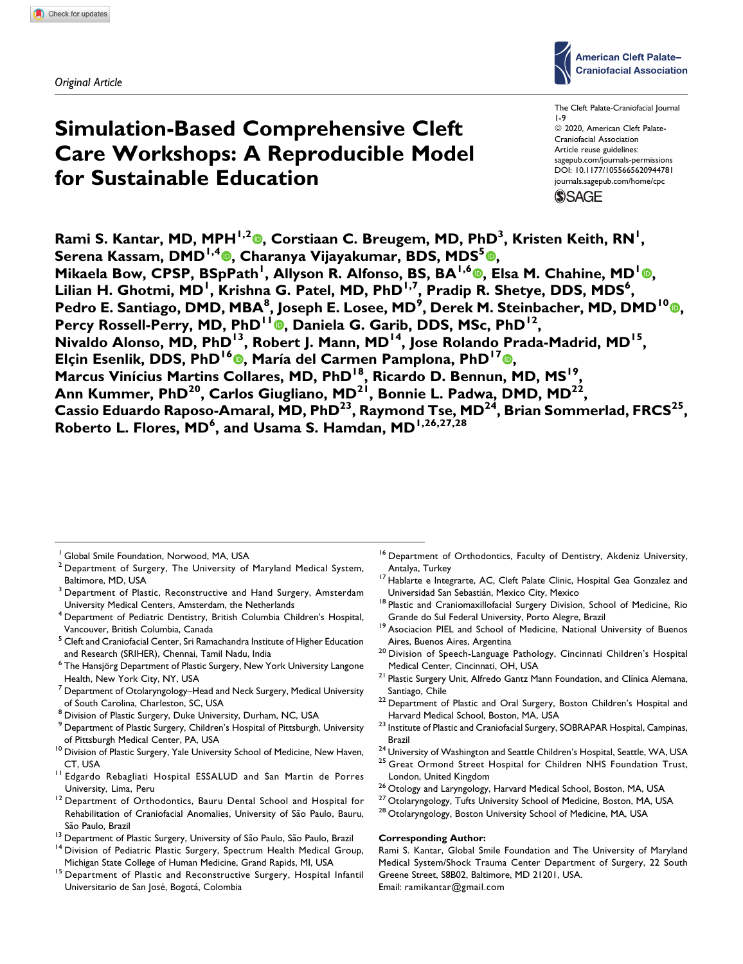Original Article

# **American Cleft Palate-**

**Craniofacial Association** 

# Simulation-Based Comprehensive Cleft Care Workshops: A Reproducible Model for Sustainable Education

The Cleft Palate-Craniofacial Journal 1-9  $@$  2020, American Cleft Palate-Craniofacial Association Article reuse guidelines: [sagepub.com/journals-permissions](https://sagepub.com/journals-permissions) [DOI: 10.1177/1055665620944781](https://doi.org/10.1177/1055665620944781) [journals.sagepub.com/home/cpc](http://journals.sagepub.com/home/cpc)**SSAGE** 

Rami S. Kantar, MD, MPH<sup>1,2</sup>®, Corstiaan C. Breugem, MD, PhD<sup>3</sup>, Kristen Keith, RN<sup>1</sup>, Serena Kassam[,](https://orcid.org/0000-0003-1067-5506) DMD<sup>1,4</sup> ®, Charanya Vijayakumar, BDS, MDS<sup>5</sup> ®, Mikaela Bow, CPSP, BSpPath<sup>1</sup>, Allyson R. Alfonso, BS, BA<sup>1,6</sup>®, Elsa M. Chahine, MD<sup>1</sup>®, Lilian H. Ghotmi, MD<sup>1</sup>, Krishna G. Patel, MD, PhD<sup>1,7</sup>, Pradip R. Shetye, DDS, MDS<sup>6</sup>, Pedro E. Santiago, DMD, MBA $^8$ , Joseph E. Losee, MD $^9$ , Derek M. Steinbacher, MD, DMD $^{10}$ ®, Percy Rossell-Perry[,](https://orcid.org/0000-0003-0423-7649) MD, PhD<sup>11</sup><sup>®</sup>, Daniela G. Garib, DDS, MSc, PhD<sup>12</sup>, Nivaldo Alonso, MD, PhD<sup>13</sup>, Robert J. Mann, MD<sup>14</sup>, Jose Rolando Prada-Madrid, MD<sup>15</sup>, Elçin Esenlik[,](https://orcid.org/0000-0002-5647-4630) DDS, PhD<sup>16</sup><sup>®</sup>, María del Carmen Pamplona, PhD<sup>17</sup><sup>®</sup>, Marcus Vinícius Martins Collares, MD, PhD<sup>18</sup>, Ricardo D. Bennun, MD, MS<sup>19</sup>, Ann Kummer, PhD<sup>20</sup>, Carlos Giugliano, MD<sup>21</sup>, Bonnie L. Padwa, DMD, MD<sup>22</sup>, Cassio Eduardo Raposo-Amaral, MD, PhD<sup>23</sup>, Raymond Tse, MD<sup>24</sup>, Brian Sommerlad, FRCS<sup>25</sup>. Roberto L. Flores, MD<sup>6</sup>, and Usama S. Hamdan, MD<sup>1,26,27,28</sup>

- <sup>1</sup> Global Smile Foundation, Norwood, MA, USA
- <sup>2</sup> Department of Surgery, The University of Maryland Medical System, Baltimore, MD, USA
- <sup>3</sup> Department of Plastic, Reconstructive and Hand Surgery, Amsterdam University Medical Centers, Amsterdam, the Netherlands
- <sup>4</sup> Department of Pediatric Dentistry, British Columbia Children's Hospital, Vancouver, British Columbia, Canada
- $^5$  Cleft and Craniofacial Center, Sri Ramachandra Institute of Higher Education and Research (SRIHER), Chennai, Tamil Nadu, India
- <sup>6</sup> The Hansjörg Department of Plastic Surgery, New York University Langone Health, New York City, NY, USA
- $7$  Department of Otolaryngology–Head and Neck Surgery, Medical University of South Carolina, Charleston, SC, USA
- <sup>8</sup> Division of Plastic Surgery, Duke University, Durham, NC, USA
- <sup>9</sup> Department of Plastic Surgery, Children's Hospital of Pittsburgh, University
- of Pittsburgh Medical Center, PA, USA 10 Division of Plastic Surgery, Yale University School of Medicine, New Haven,
- CT, USA <sup>11</sup> Edgardo Rebagliati Hospital ESSALUD and San Martin de Porres
- University, Lima, Peru<br><sup>12</sup> Department of Orthodontics, Bauru Dental School and Hospital for Rehabilitation of Craniofacial Anomalies, University of São Paulo, Bauru,
- 
- São Paulo, Brazil<br><sup>13</sup> Department of Plastic Surgery, University of São Paulo, São Paulo, Brazil<br><sup>14</sup> Division of Pediatric Plastic Surgery, Spectrum Health Medical Group,<br>Michigan State College of Human Medicine, Grand Ra
- <sup>15</sup> Department of Plastic and Reconstructive Surgery, Hospital Infantil Universitario de San José, Bogotá, Colombia
- <sup>16</sup> Department of Orthodontics, Faculty of Dentistry, Akdeniz University,
- Antalya, Turkey<br><sup>17</sup> Hablarte e Integrarte, AC, Cleft Palate Clinic, Hospital Gea Gonzalez and
- Universidad San Sebastián, Mexico City, Mexico<br><sup>18</sup> Plastic and Craniomaxillofacial Surgery Division, School of Medicine, Rio
- Grande do Sul Federal University, Porto Alegre, Brazil<br><sup>19</sup> Asociacion PIEL and School of Medicine, National University of Buenos
- Aires, Buenos Aires, Argentina<br><sup>20</sup> Division of Speech-Language Pathology, Cincinnati Children's Hospital
- Medical Center, Cincinnati, OH, USA<br><sup>21</sup> Plastic Surgery Unit, Alfredo Gantz Mann Foundation, and Clínica Alemana,
- Santiago, Chile 22 Department of Plastic and Oral Surgery, Boston Children's Hospital and
- Harvard Medical School, Boston, MA, USA 23 Institute of Plastic and Craniofacial Surgery, SOBRAPAR Hospital, Campinas,
- 
- Brazil<br><sup>24</sup> University of Washington and Seattle Children's Hospital, Seattle, WA, USA<br><sup>25</sup> Great Ormond Street Hospital for Children NHS Foundation Trust, London, United Kingdom<br><sup>26</sup> Otology and Laryngology, Harvard Medical School, Boston, MA, USA<br><sup>27</sup> Otolaryngology, Tufts University School of Medicine, Boston, MA, USA<br><sup>28</sup> Otolaryngology, Boston University School of Medici
- 
- 
- 

#### Corresponding Author:

Rami S. Kantar, Global Smile Foundation and The University of Maryland Medical System/Shock Trauma Center Department of Surgery, 22 South Greene Street, S8B02, Baltimore, MD 21201, USA. Email: [ramikantar@gmail.com](mailto:ramikantar@gmail.com)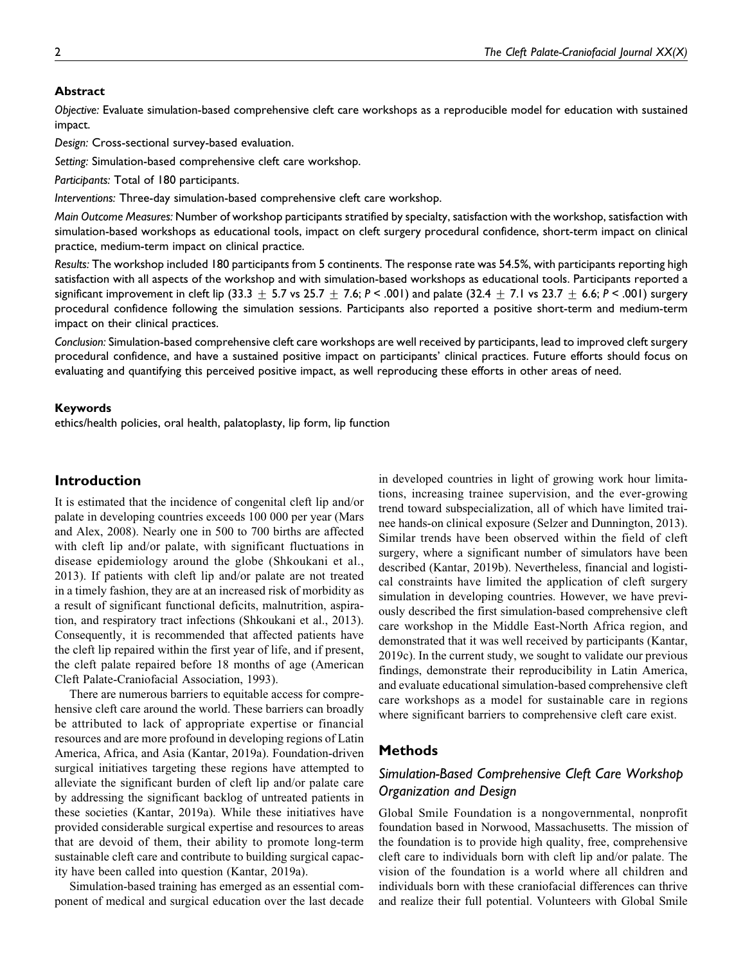#### Abstract

Objective: Evaluate simulation-based comprehensive cleft care workshops as a reproducible model for education with sustained impact.

Design: Cross-sectional survey-based evaluation.

Setting: Simulation-based comprehensive cleft care workshop.

Participants: Total of 180 participants.

Interventions: Three-day simulation-based comprehensive cleft care workshop.

Main Outcome Measures: Number of workshop participants stratified by specialty, satisfaction with the workshop, satisfaction with simulation-based workshops as educational tools, impact on cleft surgery procedural confidence, short-term impact on clinical practice, medium-term impact on clinical practice.

Results: The workshop included 180 participants from 5 continents. The response rate was 54.5%, with participants reporting high satisfaction with all aspects of the workshop and with simulation-based workshops as educational tools. Participants reported a significant improvement in cleft lip (33.3  $\pm$  5.7 vs 25.7  $\pm$  7.6; P < .001) and palate (32.4  $\pm$  7.1 vs 23.7  $\pm$  6.6; P < .001) surgery procedural confidence following the simulation sessions. Participants also reported a positive short-term and medium-term impact on their clinical practices.

Conclusion: Simulation-based comprehensive cleft care workshops are well received by participants, lead to improved cleft surgery procedural confidence, and have a sustained positive impact on participants' clinical practices. Future efforts should focus on evaluating and quantifying this perceived positive impact, as well reproducing these efforts in other areas of need.

#### Keywords

ethics/health policies, oral health, palatoplasty, lip form, lip function

#### Introduction

It is estimated that the incidence of congenital cleft lip and/or palate in developing countries exceeds 100 000 per year (Mars and Alex, 2008). Nearly one in 500 to 700 births are affected with cleft lip and/or palate, with significant fluctuations in disease epidemiology around the globe (Shkoukani et al., 2013). If patients with cleft lip and/or palate are not treated in a timely fashion, they are at an increased risk of morbidity as a result of significant functional deficits, malnutrition, aspiration, and respiratory tract infections (Shkoukani et al., 2013). Consequently, it is recommended that affected patients have the cleft lip repaired within the first year of life, and if present, the cleft palate repaired before 18 months of age (American Cleft Palate-Craniofacial Association, 1993).

There are numerous barriers to equitable access for comprehensive cleft care around the world. These barriers can broadly be attributed to lack of appropriate expertise or financial resources and are more profound in developing regions of Latin America, Africa, and Asia (Kantar, 2019a). Foundation-driven surgical initiatives targeting these regions have attempted to alleviate the significant burden of cleft lip and/or palate care by addressing the significant backlog of untreated patients in these societies (Kantar, 2019a). While these initiatives have provided considerable surgical expertise and resources to areas that are devoid of them, their ability to promote long-term sustainable cleft care and contribute to building surgical capacity have been called into question (Kantar, 2019a).

Simulation-based training has emerged as an essential component of medical and surgical education over the last decade in developed countries in light of growing work hour limitations, increasing trainee supervision, and the ever-growing trend toward subspecialization, all of which have limited trainee hands-on clinical exposure (Selzer and Dunnington, 2013). Similar trends have been observed within the field of cleft surgery, where a significant number of simulators have been described (Kantar, 2019b). Nevertheless, financial and logistical constraints have limited the application of cleft surgery simulation in developing countries. However, we have previously described the first simulation-based comprehensive cleft care workshop in the Middle East-North Africa region, and demonstrated that it was well received by participants (Kantar, 2019c). In the current study, we sought to validate our previous findings, demonstrate their reproducibility in Latin America, and evaluate educational simulation-based comprehensive cleft care workshops as a model for sustainable care in regions where significant barriers to comprehensive cleft care exist.

### Methods

# Simulation-Based Comprehensive Cleft Care Workshop Organization and Design

Global Smile Foundation is a nongovernmental, nonprofit foundation based in Norwood, Massachusetts. The mission of the foundation is to provide high quality, free, comprehensive cleft care to individuals born with cleft lip and/or palate. The vision of the foundation is a world where all children and individuals born with these craniofacial differences can thrive and realize their full potential. Volunteers with Global Smile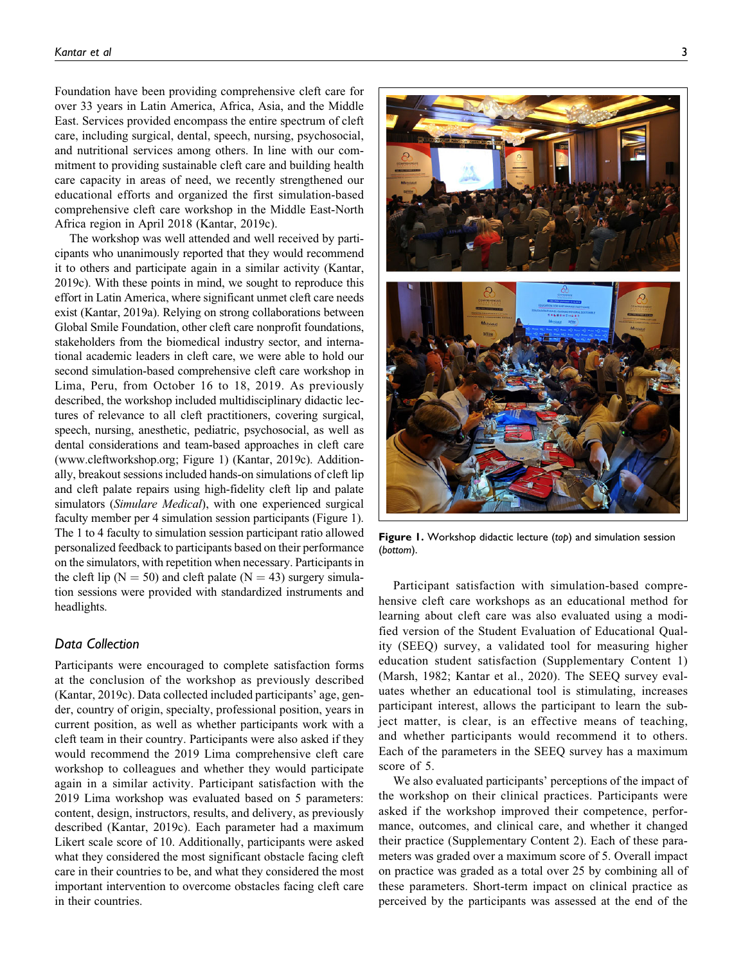Foundation have been providing comprehensive cleft care for over 33 years in Latin America, Africa, Asia, and the Middle East. Services provided encompass the entire spectrum of cleft care, including surgical, dental, speech, nursing, psychosocial, and nutritional services among others. In line with our commitment to providing sustainable cleft care and building health care capacity in areas of need, we recently strengthened our educational efforts and organized the first simulation-based comprehensive cleft care workshop in the Middle East-North Africa region in April 2018 (Kantar, 2019c).

The workshop was well attended and well received by participants who unanimously reported that they would recommend it to others and participate again in a similar activity (Kantar, 2019c). With these points in mind, we sought to reproduce this effort in Latin America, where significant unmet cleft care needs exist (Kantar, 2019a). Relying on strong collaborations between Global Smile Foundation, other cleft care nonprofit foundations, stakeholders from the biomedical industry sector, and international academic leaders in cleft care, we were able to hold our second simulation-based comprehensive cleft care workshop in Lima, Peru, from October 16 to 18, 2019. As previously described, the workshop included multidisciplinary didactic lectures of relevance to all cleft practitioners, covering surgical, speech, nursing, anesthetic, pediatric, psychosocial, as well as dental considerations and team-based approaches in cleft care ([www.cleftworkshop.org](http://www.cleftworkshop.org); Figure 1) (Kantar, 2019c). Additionally, breakout sessions included hands-on simulations of cleft lip and cleft palate repairs using high-fidelity cleft lip and palate simulators (*Simulare Medical*), with one experienced surgical faculty member per 4 simulation session participants (Figure 1). The 1 to 4 faculty to simulation session participant ratio allowed personalized feedback to participants based on their performance on the simulators, with repetition when necessary. Participants in the cleft lip ( $N = 50$ ) and cleft palate ( $N = 43$ ) surgery simulation sessions were provided with standardized instruments and headlights.

#### Data Collection

Participants were encouraged to complete satisfaction forms at the conclusion of the workshop as previously described (Kantar, 2019c). Data collected included participants' age, gender, country of origin, specialty, professional position, years in current position, as well as whether participants work with a cleft team in their country. Participants were also asked if they would recommend the 2019 Lima comprehensive cleft care workshop to colleagues and whether they would participate again in a similar activity. Participant satisfaction with the 2019 Lima workshop was evaluated based on 5 parameters: content, design, instructors, results, and delivery, as previously described (Kantar, 2019c). Each parameter had a maximum Likert scale score of 10. Additionally, participants were asked what they considered the most significant obstacle facing cleft care in their countries to be, and what they considered the most important intervention to overcome obstacles facing cleft care in their countries.



Figure 1. Workshop didactic lecture (top) and simulation session (bottom).

Participant satisfaction with simulation-based comprehensive cleft care workshops as an educational method for learning about cleft care was also evaluated using a modified version of the Student Evaluation of Educational Quality (SEEQ) survey, a validated tool for measuring higher education student satisfaction (Supplementary Content 1) (Marsh, 1982; Kantar et al., 2020). The SEEQ survey evaluates whether an educational tool is stimulating, increases participant interest, allows the participant to learn the subject matter, is clear, is an effective means of teaching, and whether participants would recommend it to others. Each of the parameters in the SEEQ survey has a maximum score of 5.

We also evaluated participants' perceptions of the impact of the workshop on their clinical practices. Participants were asked if the workshop improved their competence, performance, outcomes, and clinical care, and whether it changed their practice (Supplementary Content 2). Each of these parameters was graded over a maximum score of 5. Overall impact on practice was graded as a total over 25 by combining all of these parameters. Short-term impact on clinical practice as perceived by the participants was assessed at the end of the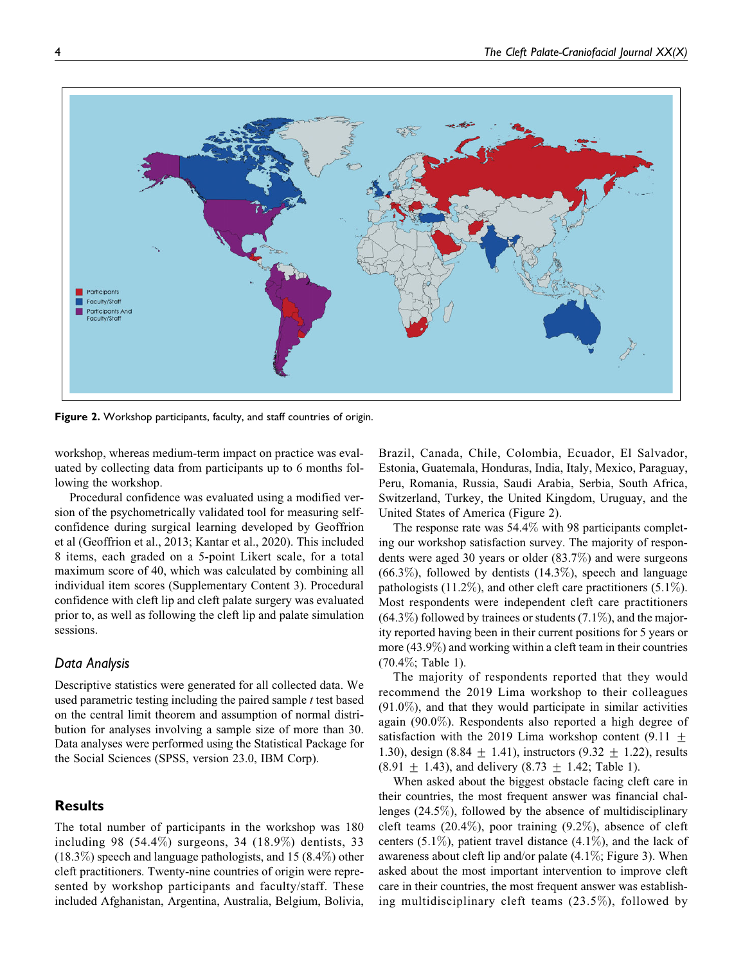

**Figure 2.** Workshop participants, faculty, and staff countries of origin.

workshop, whereas medium-term impact on practice was evaluated by collecting data from participants up to 6 months following the workshop.

Procedural confidence was evaluated using a modified version of the psychometrically validated tool for measuring selfconfidence during surgical learning developed by Geoffrion et al (Geoffrion et al., 2013; Kantar et al., 2020). This included 8 items, each graded on a 5-point Likert scale, for a total maximum score of 40, which was calculated by combining all individual item scores (Supplementary Content 3). Procedural confidence with cleft lip and cleft palate surgery was evaluated prior to, as well as following the cleft lip and palate simulation sessions.

#### Data Analysis

Descriptive statistics were generated for all collected data. We used parametric testing including the paired sample t test based on the central limit theorem and assumption of normal distribution for analyses involving a sample size of more than 30. Data analyses were performed using the Statistical Package for the Social Sciences (SPSS, version 23.0, IBM Corp).

#### **Results**

The total number of participants in the workshop was 180 including 98 (54.4%) surgeons, 34 (18.9%) dentists, 33  $(18.3\%)$  speech and language pathologists, and 15 (8.4%) other cleft practitioners. Twenty-nine countries of origin were represented by workshop participants and faculty/staff. These included Afghanistan, Argentina, Australia, Belgium, Bolivia, Brazil, Canada, Chile, Colombia, Ecuador, El Salvador, Estonia, Guatemala, Honduras, India, Italy, Mexico, Paraguay, Peru, Romania, Russia, Saudi Arabia, Serbia, South Africa, Switzerland, Turkey, the United Kingdom, Uruguay, and the United States of America (Figure 2).

The response rate was 54.4% with 98 participants completing our workshop satisfaction survey. The majority of respondents were aged 30 years or older (83.7%) and were surgeons  $(66.3\%)$ , followed by dentists  $(14.3\%)$ , speech and language pathologists (11.2%), and other cleft care practitioners (5.1%). Most respondents were independent cleft care practitioners  $(64.3\%)$  followed by trainees or students  $(7.1\%)$ , and the majority reported having been in their current positions for 5 years or more (43.9%) and working within a cleft team in their countries (70.4%; Table 1).

The majority of respondents reported that they would recommend the 2019 Lima workshop to their colleagues  $(91.0\%)$ , and that they would participate in similar activities again (90.0%). Respondents also reported a high degree of satisfaction with the 2019 Lima workshop content (9.11  $+$ 1.30), design (8.84  $\pm$  1.41), instructors (9.32  $\pm$  1.22), results  $(8.91 + 1.43)$ , and delivery  $(8.73 + 1.42;$  Table 1).

When asked about the biggest obstacle facing cleft care in their countries, the most frequent answer was financial challenges (24.5%), followed by the absence of multidisciplinary cleft teams (20.4%), poor training (9.2%), absence of cleft centers  $(5.1\%)$ , patient travel distance  $(4.1\%)$ , and the lack of awareness about cleft lip and/or palate (4.1%; Figure 3). When asked about the most important intervention to improve cleft care in their countries, the most frequent answer was establishing multidisciplinary cleft teams (23.5%), followed by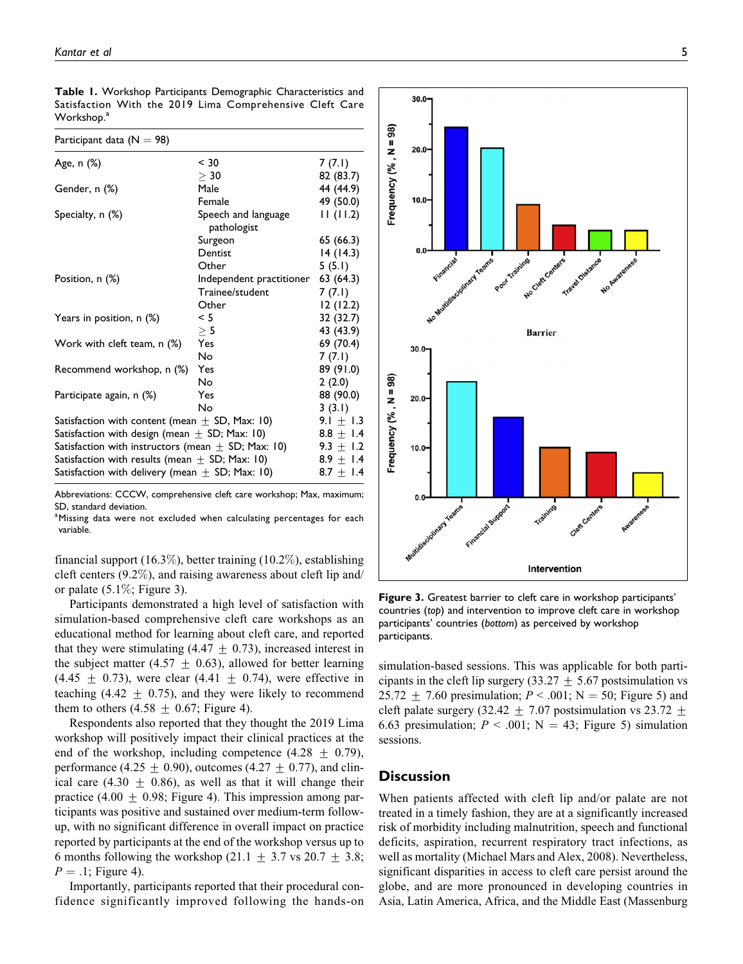| Table 1. Workshop Participants Demographic Characteristics and |  |  |  |  |
|----------------------------------------------------------------|--|--|--|--|
| Satisfaction With the 2019 Lima Comprehensive Cleft Care       |  |  |  |  |
| Workshop. <sup>a</sup>                                         |  |  |  |  |

| Participant data ( $N = 98$ )                          |                                    |           |  |  |  |
|--------------------------------------------------------|------------------------------------|-----------|--|--|--|
| Age, n (%)                                             | < 30                               | 7(7.1)    |  |  |  |
|                                                        | > 30                               | 82 (83.7) |  |  |  |
| Gender, n (%)                                          | Male                               | 44 (44.9) |  |  |  |
|                                                        | Female                             | 49 (50.0) |  |  |  |
| Specialty, n (%)                                       | Speech and language<br>pathologist | 11(11.2)  |  |  |  |
|                                                        | Surgeon                            | 65 (66.3) |  |  |  |
|                                                        | Dentist                            | 14(14.3)  |  |  |  |
|                                                        | Other                              | 5(5.1)    |  |  |  |
| Position, n (%)                                        | Independent practitioner           | 63 (64.3) |  |  |  |
|                                                        | Trainee/student                    | 7(7.1)    |  |  |  |
|                                                        | Other                              | 12(12.2)  |  |  |  |
| Years in position, $n$ (%)                             | < 5                                | 32 (32.7) |  |  |  |
|                                                        | $\geq 5$                           | 43 (43.9) |  |  |  |
| Work with cleft team, n (%)                            | Yes                                | 69 (70.4) |  |  |  |
|                                                        | No                                 | 7(7.1)    |  |  |  |
| Recommend workshop, n (%)                              | Yes                                | 89 (91.0) |  |  |  |
|                                                        | No                                 | 2(2.0)    |  |  |  |
| Participate again, n (%)                               | Yes                                | 88 (90.0) |  |  |  |
|                                                        | No                                 | 3(3.1)    |  |  |  |
| Satisfaction with content (mean $\pm$ SD, Max: 10)     | 9.1 $\pm$ 1.3                      |           |  |  |  |
| Satisfaction with design (mean $\pm$ SD; Max: 10)      | 8.8 $\pm$ 1.4                      |           |  |  |  |
| Satisfaction with instructors (mean $\pm$ SD; Max: 10) | 9.3 $\pm$ 1.2                      |           |  |  |  |
| Satisfaction with results (mean $\pm$ SD; Max: 10)     | 8.9 $\pm$ 1.4                      |           |  |  |  |
| Satisfaction with delivery (mean $\pm$ SD; Max: 10)    | 8.7 $\pm$ 1.4                      |           |  |  |  |

Abbreviations: CCCW, comprehensive cleft care workshop; Max, maximum; SD, standard deviation.

<sup>a</sup>Missing data were not excluded when calculating percentages for each variable.

financial support (16.3%), better training (10.2%), establishing cleft centers (9.2%), and raising awareness about cleft lip and/ or palate (5.1%; Figure 3).

Participants demonstrated a high level of satisfaction with simulation-based comprehensive cleft care workshops as an educational method for learning about cleft care, and reported that they were stimulating (4.47  $\pm$  0.73), increased interest in the subject matter (4.57  $\pm$  0.63), allowed for better learning  $(4.45 \pm 0.73)$ , were clear  $(4.41 \pm 0.74)$ , were effective in teaching  $(4.42 + 0.75)$ , and they were likely to recommend them to others  $(4.58 \pm 0.67;$  Figure 4).

Respondents also reported that they thought the 2019 Lima workshop will positively impact their clinical practices at the end of the workshop, including competence  $(4.28 \pm 0.79)$ , performance (4.25  $\pm$  0.90), outcomes (4.27  $\pm$  0.77), and clinical care (4.30  $\pm$  0.86), as well as that it will change their practice (4.00  $\pm$  0.98; Figure 4). This impression among participants was positive and sustained over medium-term followup, with no significant difference in overall impact on practice reported by participants at the end of the workshop versus up to 6 months following the workshop (21.1  $\pm$  3.7 vs 20.7  $\pm$  3.8;  $P = .1$ ; Figure 4).

Importantly, participants reported that their procedural confidence significantly improved following the hands-on



Figure 3. Greatest barrier to cleft care in workshop participants' countries (top) and intervention to improve cleft care in workshop participants' countries (bottom) as perceived by workshop participants.

simulation-based sessions. This was applicable for both participants in the cleft lip surgery (33.27  $\pm$  5.67 postsimulation vs 25.72  $\pm$  7.60 presimulation; *P* < .001; N = 50; Figure 5) and cleft palate surgery (32.42  $\pm$  7.07 postsimulation vs 23.72  $\pm$ 6.63 presimulation;  $P < .001$ ; N = 43; Figure 5) simulation sessions.

#### **Discussion**

When patients affected with cleft lip and/or palate are not treated in a timely fashion, they are at a significantly increased risk of morbidity including malnutrition, speech and functional deficits, aspiration, recurrent respiratory tract infections, as well as mortality (Michael Mars and Alex, 2008). Nevertheless, significant disparities in access to cleft care persist around the globe, and are more pronounced in developing countries in Asia, Latin America, Africa, and the Middle East (Massenburg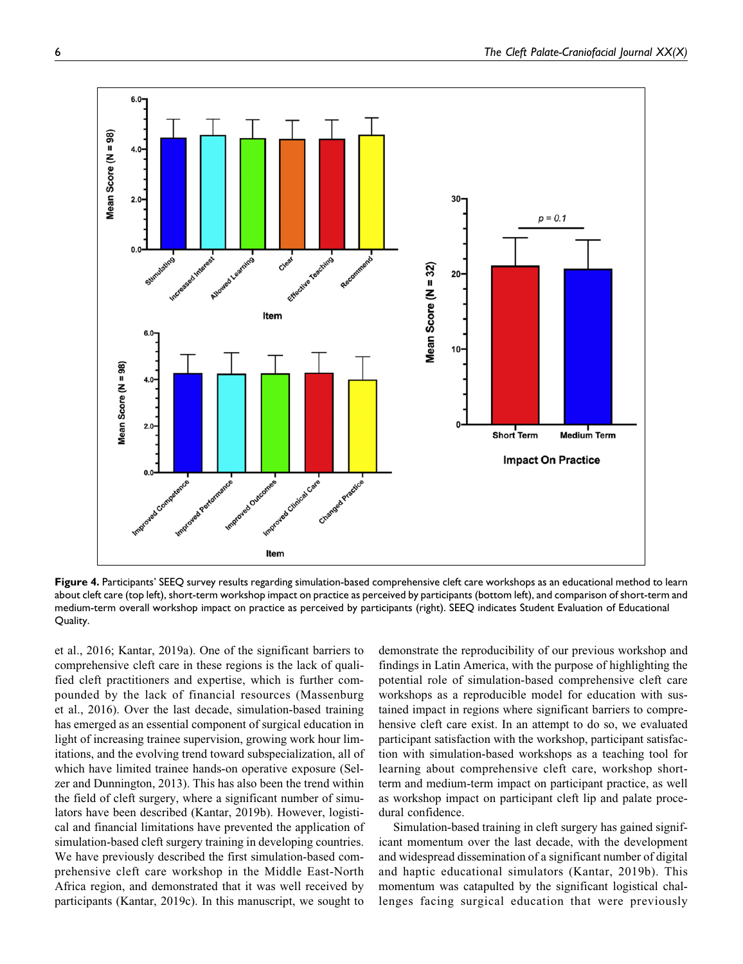

Figure 4. Participants' SEEQ survey results regarding simulation-based comprehensive cleft care workshops as an educational method to learn about cleft care (top left), short-term workshop impact on practice as perceived by participants (bottom left), and comparison of short-term and medium-term overall workshop impact on practice as perceived by participants (right). SEEQ indicates Student Evaluation of Educational Quality.

et al., 2016; Kantar, 2019a). One of the significant barriers to comprehensive cleft care in these regions is the lack of qualified cleft practitioners and expertise, which is further compounded by the lack of financial resources (Massenburg et al., 2016). Over the last decade, simulation-based training has emerged as an essential component of surgical education in light of increasing trainee supervision, growing work hour limitations, and the evolving trend toward subspecialization, all of which have limited trainee hands-on operative exposure (Selzer and Dunnington, 2013). This has also been the trend within the field of cleft surgery, where a significant number of simulators have been described (Kantar, 2019b). However, logistical and financial limitations have prevented the application of simulation-based cleft surgery training in developing countries. We have previously described the first simulation-based comprehensive cleft care workshop in the Middle East-North Africa region, and demonstrated that it was well received by participants (Kantar, 2019c). In this manuscript, we sought to

demonstrate the reproducibility of our previous workshop and findings in Latin America, with the purpose of highlighting the potential role of simulation-based comprehensive cleft care workshops as a reproducible model for education with sustained impact in regions where significant barriers to comprehensive cleft care exist. In an attempt to do so, we evaluated participant satisfaction with the workshop, participant satisfaction with simulation-based workshops as a teaching tool for learning about comprehensive cleft care, workshop shortterm and medium-term impact on participant practice, as well as workshop impact on participant cleft lip and palate procedural confidence.

Simulation-based training in cleft surgery has gained significant momentum over the last decade, with the development and widespread dissemination of a significant number of digital and haptic educational simulators (Kantar, 2019b). This momentum was catapulted by the significant logistical challenges facing surgical education that were previously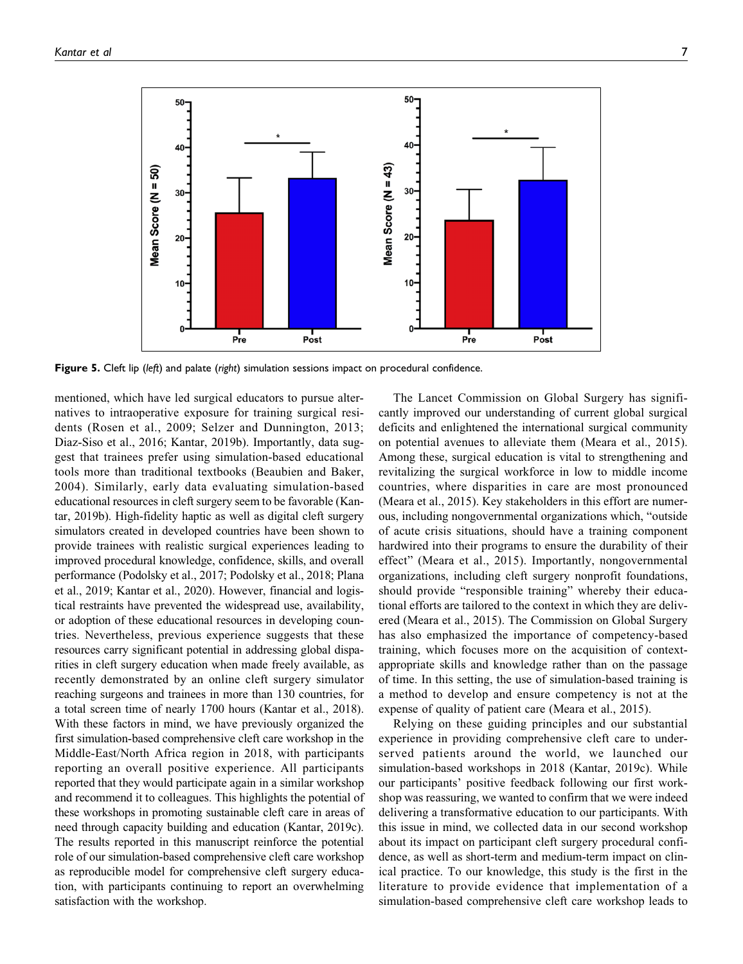

Figure 5. Cleft lip (left) and palate (right) simulation sessions impact on procedural confidence.

mentioned, which have led surgical educators to pursue alternatives to intraoperative exposure for training surgical residents (Rosen et al., 2009; Selzer and Dunnington, 2013; Diaz-Siso et al., 2016; Kantar, 2019b). Importantly, data suggest that trainees prefer using simulation-based educational tools more than traditional textbooks (Beaubien and Baker, 2004). Similarly, early data evaluating simulation-based educational resources in cleft surgery seem to be favorable (Kantar, 2019b). High-fidelity haptic as well as digital cleft surgery simulators created in developed countries have been shown to provide trainees with realistic surgical experiences leading to improved procedural knowledge, confidence, skills, and overall performance (Podolsky et al., 2017; Podolsky et al., 2018; Plana et al., 2019; Kantar et al., 2020). However, financial and logistical restraints have prevented the widespread use, availability, or adoption of these educational resources in developing countries. Nevertheless, previous experience suggests that these resources carry significant potential in addressing global disparities in cleft surgery education when made freely available, as recently demonstrated by an online cleft surgery simulator reaching surgeons and trainees in more than 130 countries, for a total screen time of nearly 1700 hours (Kantar et al., 2018). With these factors in mind, we have previously organized the first simulation-based comprehensive cleft care workshop in the Middle-East/North Africa region in 2018, with participants reporting an overall positive experience. All participants reported that they would participate again in a similar workshop and recommend it to colleagues. This highlights the potential of these workshops in promoting sustainable cleft care in areas of need through capacity building and education (Kantar, 2019c). The results reported in this manuscript reinforce the potential role of our simulation-based comprehensive cleft care workshop as reproducible model for comprehensive cleft surgery education, with participants continuing to report an overwhelming satisfaction with the workshop.

The Lancet Commission on Global Surgery has significantly improved our understanding of current global surgical deficits and enlightened the international surgical community on potential avenues to alleviate them (Meara et al., 2015). Among these, surgical education is vital to strengthening and revitalizing the surgical workforce in low to middle income countries, where disparities in care are most pronounced (Meara et al., 2015). Key stakeholders in this effort are numerous, including nongovernmental organizations which, "outside of acute crisis situations, should have a training component hardwired into their programs to ensure the durability of their effect" (Meara et al., 2015). Importantly, nongovernmental organizations, including cleft surgery nonprofit foundations, should provide "responsible training" whereby their educational efforts are tailored to the context in which they are delivered (Meara et al., 2015). The Commission on Global Surgery has also emphasized the importance of competency-based training, which focuses more on the acquisition of contextappropriate skills and knowledge rather than on the passage of time. In this setting, the use of simulation-based training is a method to develop and ensure competency is not at the expense of quality of patient care (Meara et al., 2015).

Relying on these guiding principles and our substantial experience in providing comprehensive cleft care to underserved patients around the world, we launched our simulation-based workshops in 2018 (Kantar, 2019c). While our participants' positive feedback following our first workshop was reassuring, we wanted to confirm that we were indeed delivering a transformative education to our participants. With this issue in mind, we collected data in our second workshop about its impact on participant cleft surgery procedural confidence, as well as short-term and medium-term impact on clinical practice. To our knowledge, this study is the first in the literature to provide evidence that implementation of a simulation-based comprehensive cleft care workshop leads to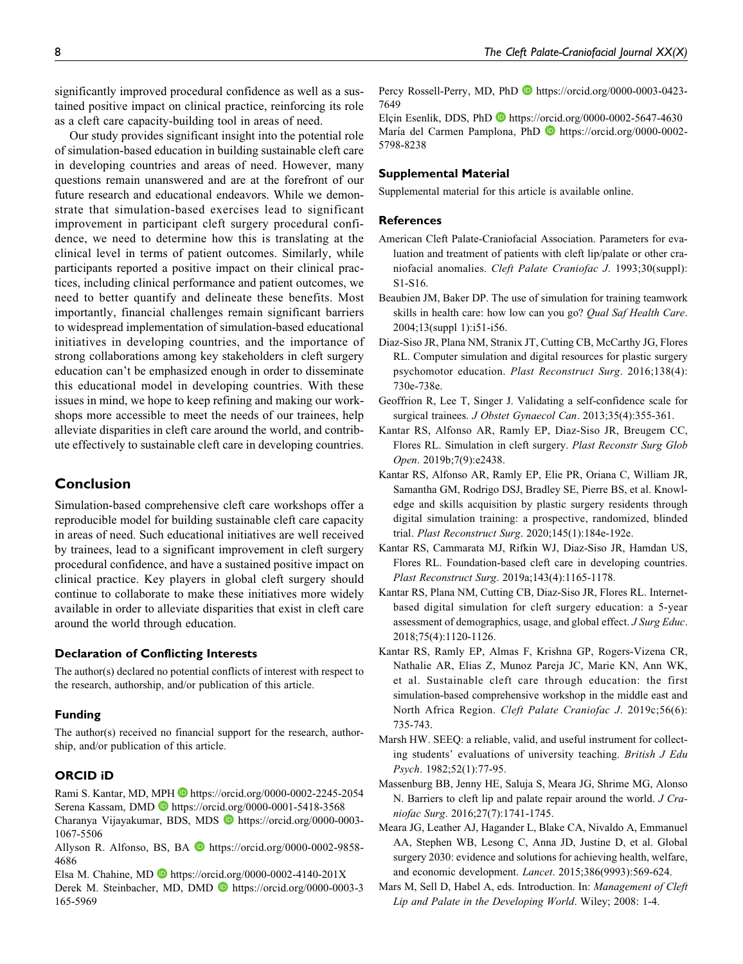significantly improved procedural confidence as well as a sustained positive impact on clinical practice, reinforcing its role as a cleft care capacity-building tool in areas of need.

Our study provides significant insight into the potential role of simulation-based education in building sustainable cleft care in developing countries and areas of need. However, many questions remain unanswered and are at the forefront of our future research and educational endeavors. While we demonstrate that simulation-based exercises lead to significant improvement in participant cleft surgery procedural confidence, we need to determine how this is translating at the clinical level in terms of patient outcomes. Similarly, while participants reported a positive impact on their clinical practices, including clinical performance and patient outcomes, we need to better quantify and delineate these benefits. Most importantly, financial challenges remain significant barriers to widespread implementation of simulation-based educational initiatives in developing countries, and the importance of strong collaborations among key stakeholders in cleft surgery education can't be emphasized enough in order to disseminate this educational model in developing countries. With these issues in mind, we hope to keep refining and making our workshops more accessible to meet the needs of our trainees, help alleviate disparities in cleft care around the world, and contribute effectively to sustainable cleft care in developing countries.

## Conclusion

Simulation-based comprehensive cleft care workshops offer a reproducible model for building sustainable cleft care capacity in areas of need. Such educational initiatives are well received by trainees, lead to a significant improvement in cleft surgery procedural confidence, and have a sustained positive impact on clinical practice. Key players in global cleft surgery should continue to collaborate to make these initiatives more widely available in order to alleviate disparities that exist in cleft care around the world through education.

#### Declaration of Conflicting Interests

The author(s) declared no potential conflicts of interest with respect to the research, authorship, and/or publication of this article.

#### Funding

The author(s) received no financial support for the research, authorship, and/or publication of this article.

#### ORCID iD

Rami S. Kantar, MD, MPH <https://orcid.org/0000-0002-2245-2054> Serena Kassam, DMD **b** <https://orcid.org/0000-0001-5418-3568> Charanya Vijayakumar, BDS, MDS D[https://orcid.org/0000-0003-](https://orcid.org/0000-0003-1067-5506) [1067-5506](https://orcid.org/0000-0003-1067-5506)

Allyson R. Alfonso, BS, BA  $\bullet$  [https://orcid.org/0000-0002-9858-](https://orcid.org/0000-0002-9858-4686) [4686](https://orcid.org/0000-0002-9858-4686)

Elsa M. Chahine, MD  $\bullet$  <https://orcid.org/0000-0002-4140-201X> Derek M. Steinbacher, MD, DMD **D** [https://orcid.org/0000-0003-3](https://orcid.org/0000-0003-3165-5969) [165-5969](https://orcid.org/0000-0003-3165-5969)

Percy Rossell-Perry, MD, PhD [https://orcid.org/0000-0003-0423-](https://orcid.org/0000-0003-0423-7649) [7649](https://orcid.org/0000-0003-0423-7649)

Elçin Esenlik, DDS, PhD  $\bullet$  <https://orcid.org/0000-0002-5647-4630> María del Carmen Pamplona, PhD [https://orcid.org/0000-0002-](https://orcid.org/0000-0002-5798-8238) [5798-8238](https://orcid.org/0000-0002-5798-8238)

#### Supplemental Material

Supplemental material for this article is available online.

#### **References**

- American Cleft Palate-Craniofacial Association. Parameters for evaluation and treatment of patients with cleft lip/palate or other craniofacial anomalies. Cleft Palate Craniofac J. 1993;30(suppl): S1-S16.
- Beaubien JM, Baker DP. The use of simulation for training teamwork skills in health care: how low can you go? Qual Saf Health Care. 2004;13(suppl 1):i51-i56.
- Diaz-Siso JR, Plana NM, Stranix JT, Cutting CB, McCarthy JG, Flores RL. Computer simulation and digital resources for plastic surgery psychomotor education. Plast Reconstruct Surg. 2016;138(4): 730e-738e.
- Geoffrion R, Lee T, Singer J. Validating a self-confidence scale for surgical trainees. J Obstet Gynaecol Can. 2013;35(4):355-361.
- Kantar RS, Alfonso AR, Ramly EP, Diaz-Siso JR, Breugem CC, Flores RL. Simulation in cleft surgery. Plast Reconstr Surg Glob Open. 2019b;7(9):e2438.
- Kantar RS, Alfonso AR, Ramly EP, Elie PR, Oriana C, William JR, Samantha GM, Rodrigo DSJ, Bradley SE, Pierre BS, et al. Knowledge and skills acquisition by plastic surgery residents through digital simulation training: a prospective, randomized, blinded trial. Plast Reconstruct Surg. 2020;145(1):184e-192e.
- Kantar RS, Cammarata MJ, Rifkin WJ, Diaz-Siso JR, Hamdan US, Flores RL. Foundation-based cleft care in developing countries. Plast Reconstruct Surg. 2019a;143(4):1165-1178.
- Kantar RS, Plana NM, Cutting CB, Diaz-Siso JR, Flores RL. Internetbased digital simulation for cleft surgery education: a 5-year assessment of demographics, usage, and global effect. J Surg Educ. 2018;75(4):1120-1126.
- Kantar RS, Ramly EP, Almas F, Krishna GP, Rogers-Vizena CR, Nathalie AR, Elias Z, Munoz Pareja JC, Marie KN, Ann WK, et al. Sustainable cleft care through education: the first simulation-based comprehensive workshop in the middle east and North Africa Region. Cleft Palate Craniofac J. 2019c;56(6): 735-743.
- Marsh HW. SEEQ: a reliable, valid, and useful instrument for collecting students' evaluations of university teaching. British J Edu Psych. 1982;52(1):77-95.
- Massenburg BB, Jenny HE, Saluja S, Meara JG, Shrime MG, Alonso N. Barriers to cleft lip and palate repair around the world. J Craniofac Surg. 2016;27(7):1741-1745.
- Meara JG, Leather AJ, Hagander L, Blake CA, Nivaldo A, Emmanuel AA, Stephen WB, Lesong C, Anna JD, Justine D, et al. Global surgery 2030: evidence and solutions for achieving health, welfare, and economic development. Lancet. 2015;386(9993):569-624.
- Mars M, Sell D, Habel A, eds. Introduction. In: Management of Cleft Lip and Palate in the Developing World. Wiley; 2008: 1-4.